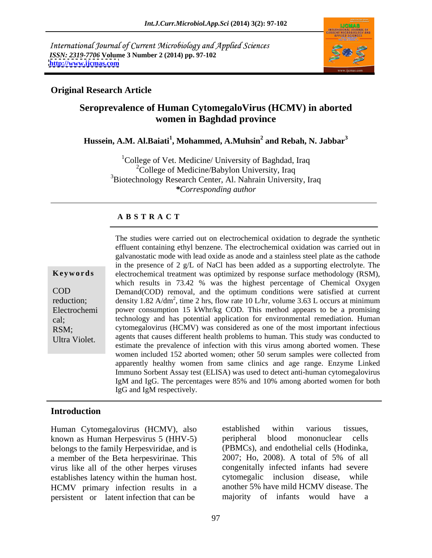International Journal of Current Microbiology and Applied Sciences *ISSN: 2319-7706* **Volume 3 Number 2 (2014) pp. 97-102 <http://www.ijcmas.com>**



## **Original Research Article**

## **Seroprevalence of Human CytomegaloVirus (HCMV) in aborted women in Baghdad province**

### $\boldsymbol{\mathrm{H}}$ ussein, A.M. Al.Baiati $^{1}$ , Mohammed, A.Muhsin $^{2}$  and Rebah, N. Jabbar $^{3}$ **and Rebah, N. Jabbar<sup>3</sup>**

<sup>1</sup>College of Vet. Medicine/ University of Baghdad, Iraq  $2^2$ College of Medicine/Babylon University, Iraq <sup>3</sup>Biotechnology Research Center, Al. Nahrain University, Iraq *\*Corresponding author* 

## **A B S T R A C T**

**Keywords** electrochemical treatment was optimized by response surface methodology (RSM), COD Demand(COD) removal, and the optimum conditions were satisfied at current reduction; density  $1.82 \text{ A/dm}^2$ , time 2 hrs, flow rate 10 L/hr, volume 3.63 L occurs at minimum Electrochemi power consumption 15 kWhr/kg COD. This method appears to be a promising cal; technology and has potential application for environmental remediation. Human RSM; cytomegalovirus (HCMV) was considered as one of the most important infectious The studies were carried out on electrochemical oxidation to degrade the synthetic<br>
effluent containing ethyl benzene. The electrochemical oxidation was carried out in<br>
galvanostatic mode with lead oxide as anode and a st effluent containing ethyl benzene. The electrochemical oxidation was carried out in galvanostatic mode with lead oxide as anode and a stainless steel plate as the cathode in the presence of 2  $g/L$  of NaCl has been added as a supporting electrolyte. The which results in 73.42 % was the highest percentage of Chemical Oxygen agents that causes different health problems to human. This study was conducted to estimate the prevalence of infection with this virus among aborted women. These women included 152 aborted women; other 50 serum samples were collected from apparently healthy women from same clinics and age range. Enzyme Linked Immuno Sorbent Assay test (ELISA) was used to detect anti-human cytomegalovirus IgM and IgG. The percentages were 85% and 10% among aborted women for both IgG and IgM respectively.

## **Introduction**

known as Human Herpesvirus 5 (HHV-5) belongs to the family Herpesviridae, and is (PBMCs), and endothelial cells (Hodinka, a member of the Beta herpesvirinae. This 2007; Ho, 2008). A total of 5% of all a member of the Beta herpesvirinae. This virus like all of the other herpes viruses establishes latency within the human host. HCMV primary infection results in a persistent or latent infection that can be

Human Cytomegalovirus (HCMV), also established within various tissues,<br>known as Human Herpesvirus 5 (HHV-5) peripheral blood mononuclear cells established within various tissues, peripheral blood mononuclear cells (PBMCs), and endothelial cells (Hodinka, 2007; Ho, 2008). A total of 5% of all congenitally infected infants had severe cytomegalic inclusion disease, while another 5% have mild HCMV disease. The majority of infants would have a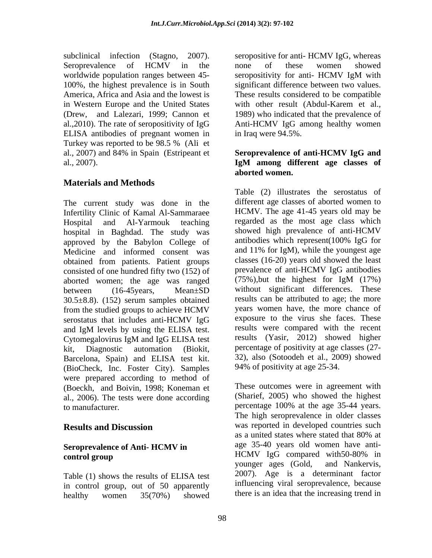worldwide population ranges between 45-<br>seropositivity for anti-HCMV IgM with ELISA antibodies of pregnant women in Turkey was reported to be 98.5 % (Ali et al., 2007) and 84% in Spain (Estripeant et **Seroprevalence of anti-HCMV IgG and** al., 2007). **IgM** among different age classes of

## **Materials and Methods**

The current study was done in the Infertility Clinic of Kamal Al-Sammaraee Hospital and Al-Yarmouk teaching regarded as the most age class which hospital in Baghdad. The study was showed high prevalence of anti-HCMV approved by the Babylon College of antibodies which represent (100% IgG for approved by the Babylon College of Medicine and informed consent was obtained from patients. Patient groups consisted of one hundred fifty two (152) of prevalence of anti-HCMV IgG antibodies<br>aborted women: the age was ranged (75%), but the highest for IgM (17%) aborted women; the age was ranged between (16-45years, Mean±SD without significant differences. These 30.5±8.8). (152) serum samples obtained from the studied groups to achieve HCMV serostatus that includes anti-HCMV IgG and IgM levels by using the ELISA test. Cytomegalovirus IgM and IgG ELISA test results (Yasir, 2012) showed higher kit, Diagnostic automation (Biokit, percentage of positivity at age classes (27- Barcelona, Spain) and ELISA test kit. (BioCheck, Inc. Foster City). Samples were prepared according to method of<br>(Boeckh, and Boivin, 1998; Koneman et These outcomes were in agreement with al., 2006). The tests were done according to manufacturer. percentage 100% at the age 35-44 years.

Table (1) shows the results of ELISA test in control group, out of 50 apparently healthy women 35(70%) showed there is an idea that the increasing trend in

subclinical infection (Stagno, 2007). seropositive for anti-HCMV IgG, whereas Seroprevalence of HCMV in the none of these women showed 100%, the highest prevalence is in South significant difference between two values. America, Africa and Asia and the lowest is These results considered to be compatible in Western Europe and the United States with other result (Abdul-Karem et al., (Drew, and Lalezari, 1999; Cannon et 1989) who indicated that the prevalence of al.,2010). The rate of seropositivity of IgG Anti-HCMV IgG among healthy women none of these women showed seropositivity for anti- HCMV IgM with in Iraq were 94.5%.

## **IgM among different age classes of aborted women.**

Table (2) illustrates the serostatus of different age classes of aborted women to HCMV. The age 41-45 years old may be showed high prevalence of anti-HCMV antibodies which represent(100% IgG for and 11% for IgM), while the youngest age classes (16-20) years old showed the least prevalence of anti-HCMV IgG antibodies (75%),but the highest for IgM (17%) without significant differences. These results can be attributed to age; the more years women have, the more chance of exposure to the virus she faces. These results were compared with the recent results (Yasir, 2012) showed higher 32), also (Sotoodeh et al., 2009) showed 94% of positivity at age 25-34.

**Results and Discussion** was reported in developed countries such vertex on the set of the set of the set of the set of the set of the set of the set of the set of the set of the set of the set of the set of the set of the **Seroprevalence of Anti- HCMV in** age 35-40 years old women have anti-<br>**EXECUTE:** HCMV IgG compared with 50-80% in **control group control group control control group control control control control control control control control control control control control control control control control c** These outcomes were in agreement with (Sharief, 2005) who showed the highest The high seroprevalence in older classes was reported in developed countries such as a united states where stated that 80% at age 35-40 years old women have anti- HCMV IgG compared with50-80% in younger ages (Gold, and Nankervis, 2007). Age is a determinant factor influencing viral seroprevalence, because there is an idea that the increasing trend in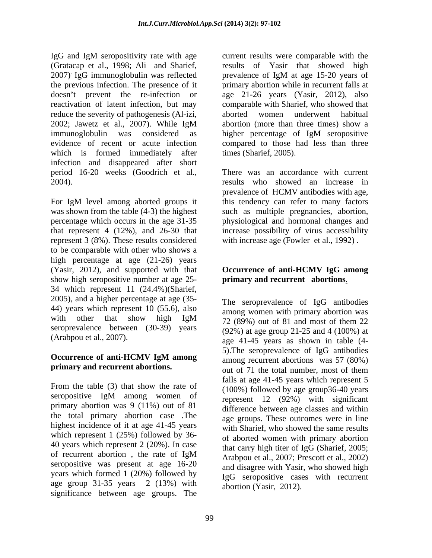IgG and IgM seropositivity rate with age current results were comparable with the (Gratacap et al., 1998; Ali and Sharief, results of Yasir that showed high 2007) IgG immunoglobulin was reflected prevalence of IgM at age 15-20 years of the previous infection. The presence of it primary abortion while in recurrent falls at doesn't prevent the re-infection or age 21-26 years (Yasir, 2012), also reactivation of latent infection, but may comparable with Sharief, who showed that reduce the severity of pathogenesis (Al-izi, aborted women underwent habitual 2002; Jawetz et al., 2007). While IgM immunoglobulin was considered as higher percentage of IgM seropositive evidence of recent or acute infection compared to those had less than three which is formed immediately after times (Sharief, 2005). infection and disappeared after short period 16-20 weeks (Goodrich et al., There was an accordance with current

was shown from the table (4-3) the highest such as multiple pregnancies, abortion, percentage which occurs in the age 31-35 physiological and hormonal changes and that represent 4 (12%), and 26-30 that increase possibility of virus accessibility represent 3 (8%). These results considered to be comparable with other who shows a high percentage at age  $(21-26)$  years (Yasir, 2012), and supported with that **Occurrence of anti-HCMV IgG among** show high seropositive number at age 25- 34 which represent 11 (24.4%)(Sharief, 2005), and a higher percentage at age (35- 44) years which represent 10 (55.6), also with other that show high IgM  $\frac{1}{72}$  (89%) out of 81 and most of them 22 seroprevalence between (30-39) years (Arabpou et al., 2007).

From the table (3) that show the rate of seropositive IgM among women of  $\frac{12}{12}$  (92%) with significant primary abortion was 9 (11%) out of 81 the total primary abortion case .The highest incidence of it at age 41-45 years which represent 1 (25%) followed by 36- 40 years which represent 2 (20%). In case of recurrent abortion, the rate of IgM  $\frac{1}{4}$   $\frac{1}{2007}$   $\frac{1}{2007}$   $\frac{1}{2007}$ seropositive was present at age 16-20 years which formed 1 (20%) followed by age group 31-35 years 2 (13%) with significance between age groups. The

current results were comparable with the prevalence of IgM at age 15-20 years of aborted women underwent habitual abortion (more than three times) show a higher percentage of IgM seropositive

2004).<br>
2004). For IgM level among aborted groups it this tendency can refer to many factors times (Sharief, 2005). There was an accordance with current results who showed an increase in prevalence of HCMV antibodies with age, this tendency can refer to many factors with increase age (Fowler et al., 1992).

# **primary and recurrent abortions**.

**Occurrence** of anti-HCMV IgM among<br>among recurrent abortions was 57 (80%) **primary and recurrent abortions.** The out of 71 the total number, most of them The seroprevalence of IgG antibodies among women with primary abortion was 72 (89%) out of 81 and most of them 22 (92%) at age group 21-25 and 4 (100%) at age 41-45 years as shown in table (4- 5).The seroprevalence of IgG antibodies among recurrent abortions was 57 (80%) out of 71 the total number, most of them falls at age 41-45 years which represent 5 (100%) followed by age group36-40 years represent 12 (92%) with significant difference between age classes and within age groups. These outcomes were in line with Sharief, who showed the same results of aborted women with primary abortion that carry high titer of IgG (Sharief, 2005; Arabpou et al., 2007; Prescott et al., 2002) and disagree with Yasir, who showed high IgG seropositive cases with recurrent abortion (Yasir, 2012).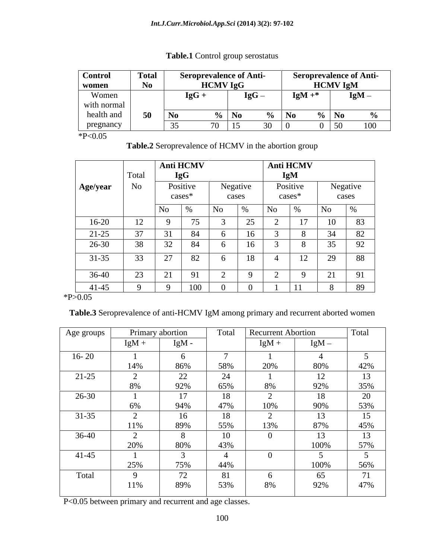| Control Total                                                      |    | <b>Seroprevalence of Anti-</b> |                     | <b>Seroprevalence of Anti-</b> |
|--------------------------------------------------------------------|----|--------------------------------|---------------------|--------------------------------|
| $N_0$<br>women                                                     |    | <b>HCMV IgG</b>                |                     | <b>HCMV IgM</b>                |
| Women                                                              |    | $IgG +$<br>$I \rho G$ –        | $IgM +$ *           | $IgM -$                        |
| with normal                                                        |    |                                |                     |                                |
| health and $\overline{\phantom{0}}$ 50 $\overline{\phantom{0}}$ No |    | $\%$   No                      | $\%$   No $\%$   No |                                |
| pregnancy                                                          | 25 |                                |                     | $\sqrt{50}$                    |

## **Table.1** Control group serostatus

 $*P<0.05$ 

**Table.2** Seroprevalence of HCMV in the abortion group

|                                  |               | <b>Anti HCMV</b> |          | <b>Anti HCMV</b> |          |                                         |
|----------------------------------|---------------|------------------|----------|------------------|----------|-----------------------------------------|
|                                  | Total         | <b>IgG</b>       |          | <b>IgM</b>       |          |                                         |
| Age/year                         | No            | $ -$<br>Positive | Negative | Positive         |          | Negative                                |
|                                  |               | $cases^*$        | cases    | $cases^*$        |          | cases                                   |
|                                  |               |                  |          |                  |          |                                         |
| $16 - 20$                        | --            |                  |          |                  | $\sim$   | ാ                                       |
| 21.25<br>$\angle 1$ - $\angle 2$ |               |                  |          |                  |          | $O\angle$                               |
| 26-30                            | JU.           | - J 42           |          |                  | ັບ       | - - -                                   |
| $31 - 35$                        | $\sim$<br>ر ر | $\sim$           |          |                  | $\Omega$ | 88                                      |
| $36-40$                          | رے            |                  |          |                  | $\sim$ 1 | $\Omega$<br>$\rightarrow$ $\rightarrow$ |
| $41-45$                          |               | 100              |          |                  |          | $\Omega$<br>റ്റ                         |

 $*P>0.05$ 

**Table.3** Seroprevalence of anti-HCMV IgM among primary and recurrent aborted women

| Age groups | Primary abortion |                | Total        | <b>Recurrent Abortion</b> |         | Total             |
|------------|------------------|----------------|--------------|---------------------------|---------|-------------------|
|            | $IgM +$          | $IgM -$        |              | $IgM +$                   | $IgM -$ |                   |
|            |                  |                |              |                           |         |                   |
| $16 - 20$  |                  |                |              |                           |         |                   |
|            | 14%              | 86%            | 58%          | 20%                       | 80%     | 42%               |
| $21 - 25$  |                  | 22             | 24           |                           | 12      | 13                |
|            | 8%               | 92%            | 65%          | 8%                        | 92%     | 35%               |
| 26-30      |                  | 17             | 18           |                           | 18      | $\overline{20}$   |
|            | 6%               | 94%            | 47%          | 10%                       | 90%     | $\angle U$<br>53% |
|            |                  |                |              |                           |         |                   |
| $31 - 35$  |                  | 16             | 18           |                           | 13      | 15                |
|            | $11\%$           | 89%            | 55%          | 13%                       | 87%     | 45%               |
| 36-40      |                  |                | 10           |                           | 13      | 13                |
|            | 20%              | 80%            | 43%          |                           | 100%    | 57%               |
| $41 - 45$  |                  |                | $\leftarrow$ |                           |         |                   |
|            | 25%              | 75%            | 44%          |                           | 100%    | 56%               |
|            |                  | $\overline{a}$ |              |                           |         | 71                |
| Total      |                  | $\sqrt{2}$     | 81           |                           | 65      |                   |
|            | 11%              | 89%            | 53%          | 8%                        | 92%     | 47%               |
|            |                  |                |              |                           |         |                   |

P<0.05 between primary and recurrent and age classes.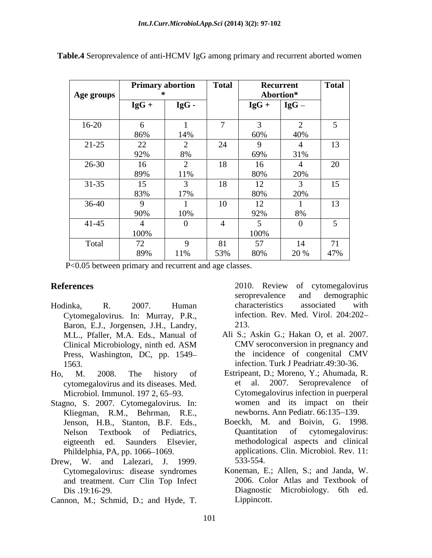|            | <b>Primary abortion</b>    |                                | Total          | Recurrent           |      | Total           |
|------------|----------------------------|--------------------------------|----------------|---------------------|------|-----------------|
| Age groups |                            |                                |                | Abortion*           |      |                 |
|            | $IgG +$                    | $\lg G$ -                      |                | $\log G + \log G -$ |      |                 |
| $16 - 20$  |                            |                                | $\overline{a}$ |                     |      |                 |
|            | 86%                        | 14%                            |                | 60%                 | 40%  |                 |
| $21 - 25$  | 22                         | $\sim$                         | $\Omega$       | $\sim$              |      | $1^{\circ}$     |
|            | 92%                        | $\overline{\phantom{0}}$<br>8% | $\angle 4$     | 69%                 | 31%  | -19             |
| $26 - 30$  | 16                         |                                | 18             | 16                  |      | $20^{\circ}$    |
|            | 89%                        | $\overline{ }$<br>11%          |                | 80%                 | 20%  | $\sim$          |
| $31 - 35$  | 15                         |                                | 18             | $\sqrt{10}$         |      |                 |
|            | 83%                        | 1/9                            |                | 1/2<br>80%          | 20%  | IJ              |
| $36-40$    |                            |                                | 10             | $1^{\circ}$         |      | $\overline{10}$ |
|            | 90%                        | 10%                            |                | $\perp$<br>92%      | 8%   | $\overline{1}$  |
| 41-45      |                            |                                | $\leftarrow$   |                     |      |                 |
|            | 100%                       |                                |                | 100%                |      |                 |
| Total      | $\mathbf{a}$<br>$\sqrt{2}$ |                                | 81             | 57                  | 14   | $\sim$          |
|            | 89%                        | 11%                            | 53%            | 80%                 | 20 % | $\vert$ 47%     |

**Table.4** Seroprevalence of anti-HCMV IgG among primary and recurrent aborted women

P<0.05 between primary and recurrent and age classes.

- Hodinka, R. 2007. Human characteristics associated with Cytomegalovirus. In: Murray, P.R., Baron, E.J., Jorgensen, J.H., Landry, M.L., Pfaller, M.A. Eds., Manual of **References** 2010.<br> **References** 2010. Review of eyromegalovirus and demographic<br>
Cytomegalovirus. In: Murray, P.R., infection. Rev. Med. Virol. 204:202-<br> **Earon, E.J., Jorgensen, J.H., Landry**, 213.<br>
M.L., Pfaller, M.A. E
- Ho, M. 2008. The history of Estripeant, D.; Moreno, Y.; Ahumada, R.
- Stagno, S. 2007. Cytomegalovirus. In: Kliegman, R.M., Behrman, R.E., Jenson, H.B., Stanton, B.F. Eds.,
- Drew, W. and Lalezari, J. 1999. Cytomegalovirus: disease syndromes and treatment. Curr Clin Top Infect
- 

**References** 2010. Review of cytomegalovirus<br>seroprevalence and demographic seroprevalence and demographic characteristics associated with infection. Rev. Med. Virol. 204:202 213.

- Clinical Microbiology, ninth ed. ASM Press, Washington, DC, pp. 1549– the incidence of congenital CMV 1563. infection. Turk J Peadriatr.49:30-36. Ali S.; Askin G.; Hakan O, et al. 2007. CMV seroconversion in pregnancy and the incidence of congenital CMV
- cytomegalovirus and its diseases. Med. Microbiol. Immunol. 197 2, 65–93. Cytomegalovirus infection in puerperal et al. 2007. Seroprevalence of women and its impact on their newborns. Ann Pediatr. 66:135–139.
- Nelson Textbook of Pediatrics, eigteenth ed. Saunders Elsevier, Phildelphia, PA, pp. 1066 1069. Boeckh, M. and Boivin, G. 1998. Quantitation of cytomegalovirus: methodological aspects and clinical applications. Clin. Microbiol. Rev. 11: 533-554.
- Dis .19:16-29. Diagnostic Microbiology. 6th ed. Koneman, E.; Allen, S.; and Janda, W. 2006. Color Atlas and Textbook of Lippincott.